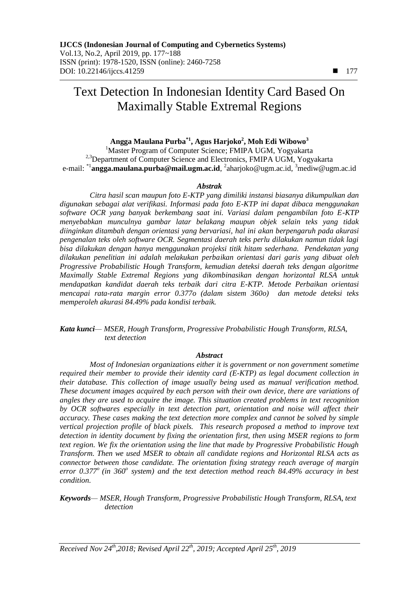# Text Detection In Indonesian Identity Card Based On Maximally Stable Extremal Regions

# **Angga Maulana Purba\*1 , Agus Harjoko<sup>2</sup> , Moh Edi Wibowo<sup>3</sup>**

<sup>1</sup>Master Program of Computer Science; FMIPA UGM, Yogyakarta <sup>2,3</sup>Department of Computer Science and Electronics, FMIPA UGM, Yogyakarta e-mail: <sup>\*1</sup>**angga.maulana.purba@mail.ugm.ac.id**, <sup>2</sup>aharjoko@ugm.ac.id, <sup>3</sup>mediw@ugm.ac.id

#### *Abstrak*

*Citra hasil scan maupun foto E-KTP yang dimiliki instansi biasanya dikumpulkan dan digunakan sebagai alat verifikasi. Informasi pada foto E-KTP ini dapat dibaca menggunakan software OCR yang banyak berkembang saat ini. Variasi dalam pengambilan foto E-KTP menyebabkan munculnya gambar latar belakang maupun objek selain teks yang tidak diinginkan ditambah dengan orientasi yang bervariasi, hal ini akan berpengaruh pada akurasi pengenalan teks oleh software OCR. Segmentasi daerah teks perlu dilakukan namun tidak lagi bisa dilakukan dengan hanya menggunakan projeksi titik hitam sederhana. Pendekatan yang dilakukan penelitian ini adalah melakukan perbaikan orientasi dari garis yang dibuat oleh Progressive Probabilistic Hough Transform, kemudian deteksi daerah teks dengan algoritme Maximally Stable Extremal Regions yang dikombinasikan dengan horizontal RLSA untuk mendapatkan kandidat daerah teks terbaik dari citra E-KTP. Metode Perbaikan orientasi mencapai rata-rata margin error 0.377o (dalam sistem 360o) dan metode deteksi teks memperoleh akurasi 84.49% pada kondisi terbaik.*

*Kata kunci— MSER, Hough Transform, Progressive Probabilistic Hough Transform, RLSA, text detection*

#### *Abstract*

*Most of Indonesian organizations either it is government or non government sometime required their member to provide their identity card (E-KTP) as legal document collection in their database. This collection of image usually being used as manual verification method. These document images acquired by each person with their own device, there are variations of angles they are used to acquire the image. This situation created problems in text recognition by OCR softwares especially in text detection part, orientation and noise will affect their accuracy. These cases making the text detection more complex and cannot be solved by simple vertical projection profile of black pixels. This research proposed a method to improve text detection in identity document by fixing the orientation first, then using MSER regions to form text region. We fix the orientation using the line that made by Progressive Probabilistic Hough Transform. Then we used MSER to obtain all candidate regions and Horizontal RLSA acts as connector between those candidate. The orientation fixing strategy reach average of margin error 0.377<sup>o</sup>(in 360<sup>o</sup> system) and the text detection method reach 84.49% accuracy in best condition.* 

*Keywords— MSER, Hough Transform, Progressive Probabilistic Hough Transform, RLSA, text detection*

*Received Nov 24th,2018; Revised April 22 th, 2019; Accepted April 25th, 2019*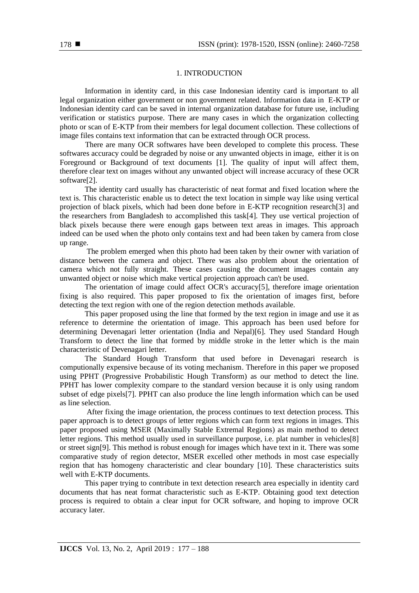## 1. INTRODUCTION

Information in identity card, in this case Indonesian identity card is important to all legal organization either government or non government related. Information data in E-KTP or Indonesian identity card can be saved in internal organization database for future use, including verification or statistics purpose. There are many cases in which the organization collecting photo or scan of E-KTP from their members for legal document collection. These collections of image files contains text information that can be extracted through OCR process.

There are many OCR softwares have been developed to complete this process. These softwares accuracy could be degraded by noise or any unwanted objects in image, either it is on Foreground or Background of text documents [1]. The quality of input will affect them, therefore clear text on images without any unwanted object will increase accuracy of these OCR software[2].

The identity card usually has characteristic of neat format and fixed location where the text is. This characteristic enable us to detect the text location in simple way like using vertical projection of black pixels, which had been done before in E-KTP recognition research[3] and the researchers from Bangladesh to accomplished this task[4]. They use vertical projection of black pixels because there were enough gaps between text areas in images. This approach indeed can be used when the photo only contains text and had been taken by camera from close up range.

The problem emerged when this photo had been taken by their owner with variation of distance between the camera and object. There was also problem about the orientation of camera which not fully straight. These cases causing the document images contain any unwanted object or noise which make vertical projection approach can't be used.

The orientation of image could affect OCR's accuracy[5], therefore image orientation fixing is also required. This paper proposed to fix the orientation of images first, before detecting the text region with one of the region detection methods available.

This paper proposed using the line that formed by the text region in image and use it as reference to determine the orientation of image. This approach has been used before for determining Devenagari letter orientation (India and Nepal)[6]. They used Standard Hough Transform to detect the line that formed by middle stroke in the letter which is the main characteristic of Devenagari letter.

The Standard Hough Transform that used before in Devenagari research is computionally expensive because of its voting mechanism. Therefore in this paper we proposed using PPHT (Progressive Probabilistic Hough Transform) as our method to detect the line. PPHT has lower complexity compare to the standard version because it is only using random subset of edge pixels[7]. PPHT can also produce the line length information which can be used as line selection.

After fixing the image orientation, the process continues to text detection process. This paper approach is to detect groups of letter regions which can form text regions in images. This paper proposed using MSER (Maximally Stable Extremal Regions) as main method to detect letter regions. This method usually used in surveillance purpose, i.e. plat number in vehicles[8] or street sign[9]. This method is robust enough for images which have text in it. There was some comparative study of region detector, MSER excelled other methods in most case especially region that has homogeny characteristic and clear boundary [10]. These characteristics suits well with E-KTP documents.

This paper trying to contribute in text detection research area especially in identity card documents that has neat format characteristic such as E-KTP. Obtaining good text detection process is required to obtain a clear input for OCR software, and hoping to improve OCR accuracy later.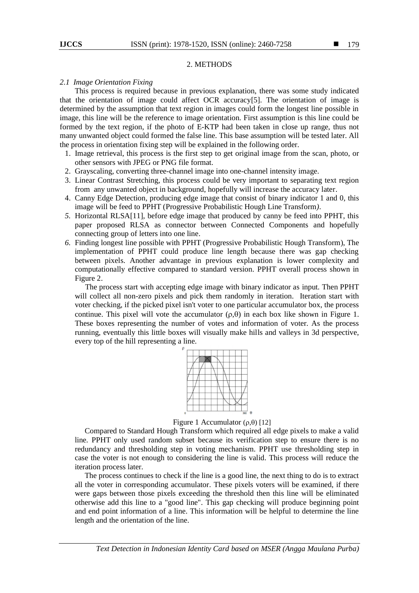#### 2. METHODS

#### *2.1 Image Orientation Fixing*

This process is required because in previous explanation, there was some study indicated that the orientation of image could affect OCR accuracy[5]. The orientation of image is determined by the assumption that text region in images could form the longest line possible in image, this line will be the reference to image orientation. First assumption is this line could be formed by the text region, if the photo of E-KTP had been taken in close up range, thus not many unwanted object could formed the false line. This base assumption will be tested later. All the process in orientation fixing step will be explained in the following order.

- 1. Image retrieval, this process is the first step to get original image from the scan, photo, or other sensors with JPEG or PNG file format.
- 2. Grayscaling*,* converting three-channel image into one-channel intensity image.
- 3. Linear Contrast Stretching, this process could be very important to separating text region from any unwanted object in background, hopefully will increase the accuracy later.
- 4. Canny Edge Detection, producing edge image that consist of binary indicator 1 and 0, this image will be feed to PPHT (Progressive Probabilistic Hough Line Transform*)*.
- *5.* Horizontal RLSA[11]*,* before edge image that produced by canny be feed into PPHT, this paper proposed RLSA as connector between Connected Components and hopefully connecting group of letters into one line.
- *6.* Finding longest line possible with PPHT (Progressive Probabilistic Hough Transform), The implementation of PPHT could produce line length because there was gap checking between pixels. Another advantage in previous explanation is lower complexity and computationally effective compared to standard version. PPHT overall process shown in Figure 2.

The process start with accepting edge image with binary indicator as input. Then PPHT will collect all non-zero pixels and pick them randomly in iteration. Iteration start with voter checking, if the picked pixel isn't voter to one particular accumulator box, the process continue. This pixel will vote the accumulator  $(\rho,\theta)$  in each box like shown in Figure 1. These boxes representing the number of votes and information of voter. As the process running, eventually this little boxes will visually make hills and valleys in 3d perspective, every top of the hill representing a line.



Figure 1 Accumulator  $(\rho,\theta)$  [12]

Compared to Standard Hough Transform which required all edge pixels to make a valid line. PPHT only used random subset because its verification step to ensure there is no redundancy and thresholding step in voting mechanism. PPHT use thresholding step in case the voter is not enough to considering the line is valid. This process will reduce the iteration process later.

The process continues to check if the line is a good line, the next thing to do is to extract all the voter in corresponding accumulator. These pixels voters will be examined, if there were gaps between those pixels exceeding the threshold then this line will be eliminated otherwise add this line to a "good line". This gap checking will produce beginning point and end point information of a line. This information will be helpful to determine the line length and the orientation of the line.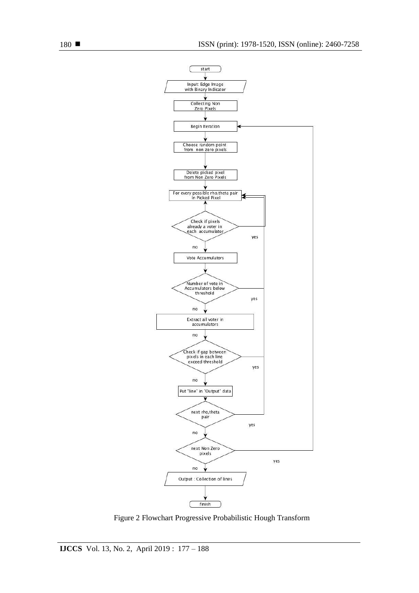

Figure 2 Flowchart Progressive Probabilistic Hough Transform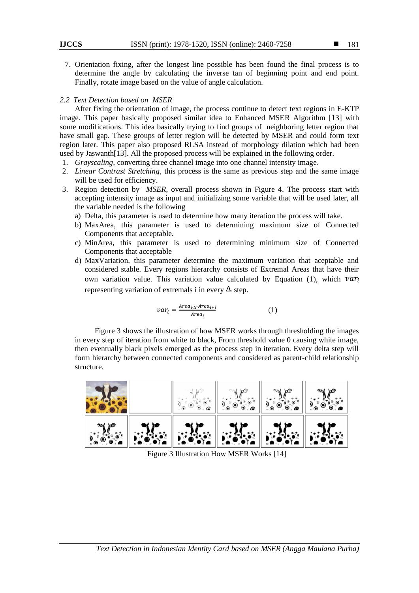7. Orientation fixing, after the longest line possible has been found the final process is to determine the angle by calculating the inverse tan of beginning point and end point. Finally, rotate image based on the value of angle calculation.

## *2.2 Text Detection based on MSER*

After fixing the orientation of image, the process continue to detect text regions in E-KTP image. This paper basically proposed similar idea to Enhanced MSER Algorithm [13] with some modifications. This idea basically trying to find groups of neighboring letter region that have small gap. These groups of letter region will be detected by MSER and could form text region later. This paper also proposed RLSA instead of morphology dilation which had been used by Jaswanth[13]. All the proposed process will be explained in the following order.

- 1. *Grayscaling,* converting three channel image into one channel intensity image.
- 2. *Linear Contrast Stretching,* this process is the same as previous step and the same image will be used for efficiency.
- 3. Region detection by *MSER*, overall process shown in Figure 4. The process start with accepting intensity image as input and initializing some variable that will be used later, all the variable needed is the following
	- a) Delta, this parameter is used to determine how many iteration the process will take.
	- b) MaxArea, this parameter is used to determining maximum size of Connected Components that acceptable.
	- c) MinArea, this parameter is used to determining minimum size of Connected Components that acceptable
	- d) MaxVariation, this parameter determine the maximum variation that aceptable and considered stable. Every regions hierarchy consists of Extremal Areas that have their own variation value. This variation value calculated by Equation (1), which  $var_i$ representing variation of extremals i in every  $\Delta$  step.

$$
var_i = \frac{Area_{i\cdot \Delta} \cdot Area_{i+i}}{Area_i} \tag{1}
$$

Figure 3 shows the illustration of how MSER works through thresholding the images in every step of iteration from white to black, From threshold value 0 causing white image, then eventually black pixels emerged as the process step in iteration. Every delta step will form hierarchy between connected components and considered as parent-child relationship structure.



Figure 3 Illustration How MSER Works [14]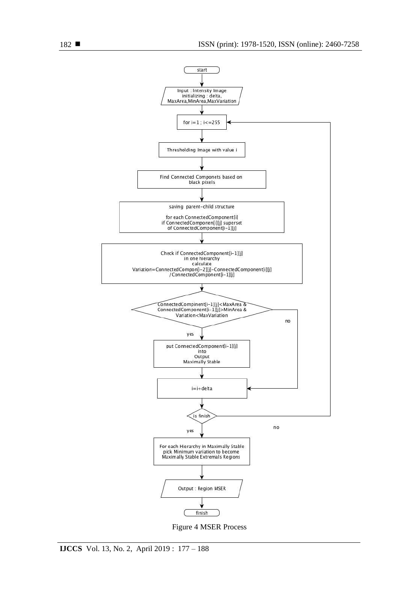

Figure 4 MSER Process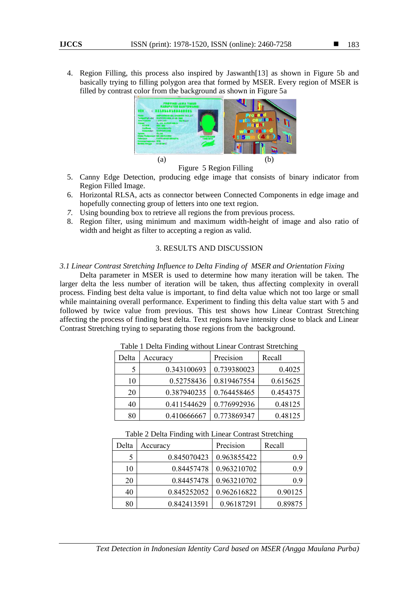4. Region Filling, this process also inspired by Jaswanth[13] as shown in Figure 5b and basically trying to filling polygon area that formed by MSER. Every region of MSER is filled by contrast color from the background as shown in Figure 5a



Figure 5 Region Filling

- 5. Canny Edge Detection, producing edge image that consists of binary indicator from Region Filled Image.
- 6. Horizontal RLSA, acts as connector between Connected Components in edge image and hopefully connecting group of letters into one text region.
- *7.* Using bounding box to retrieve all regions the from previous process*.*
- 8. Region filter, using minimum and maximum width-height of image and also ratio of width and height as filter to accepting a region as valid.

# 3. RESULTS AND DISCUSSION

## *3.1 Linear Contrast Stretching Influence to Delta Finding of MSER and Orientation Fixing*

Delta parameter in MSER is used to determine how many iteration will be taken. The larger delta the less number of iteration will be taken, thus affecting complexity in overall process. Finding best delta value is important, to find delta value which not too large or small while maintaining overall performance. Experiment to finding this delta value start with 5 and followed by twice value from previous. This test shows how Linear Contrast Stretching affecting the process of finding best delta. Text regions have intensity close to black and Linear Contrast Stretching trying to separating those regions from the background.

| Delta | Accuracy    | Precision   | Recall   |
|-------|-------------|-------------|----------|
|       |             |             |          |
|       | 0.343100693 | 0.739380023 | 0.4025   |
| 10    | 0.52758436  | 0.819467554 | 0.615625 |
| 20    | 0.387940235 | 0.764458465 | 0.454375 |
| 40    | 0.411544629 | 0.776992936 | 0.48125  |
| 80    | 0.410666667 | 0.773869347 | 0.48125  |

Table 1 Delta Finding without Linear Contrast Stretching

Table 2 Delta Finding with Linear Contrast Stretching

| Delta | Accuracy    | Precision   | Recall  |
|-------|-------------|-------------|---------|
|       | 0.845070423 | 0.963855422 | 0.9     |
| 10    | 0.84457478  | 0.963210702 | 0.9     |
| 20    | 0.84457478  | 0.963210702 | 0.9     |
| 40    | 0.845252052 | 0.962616822 | 0.90125 |
| 80    | 0.842413591 | 0.96187291  | 0.89875 |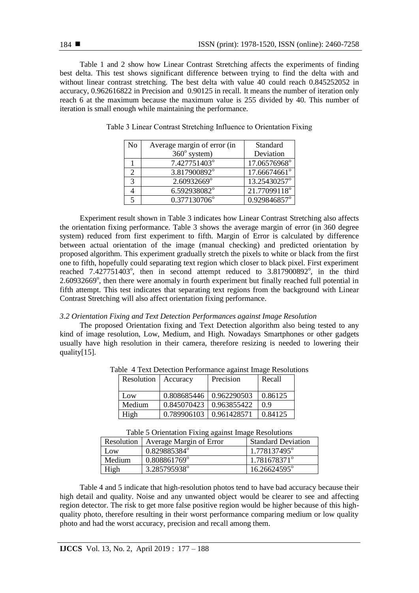Table 1 and 2 show how Linear Contrast Stretching affects the experiments of finding best delta. This test shows significant difference between trying to find the delta with and without linear contrast stretching. The best delta with value 40 could reach 0.845252052 in accuracy, 0.962616822 in Precision and 0.90125 in recall. It means the number of iteration only reach 6 at the maximum because the maximum value is 255 divided by 40. This number of iteration is small enough while maintaining the performance.

| N <sub>0</sub> | Average margin of error (in | Standard     |
|----------------|-----------------------------|--------------|
|                | $360^\circ$ system)         | Deviation    |
|                | 7.427751403°                | 17.06576968° |
|                | 3.817900892°                | 17.66674661° |
| 3              | 2.60932669°                 | 13.25430257° |
|                | 6.592938082°                | 21.77099118° |
|                | 0.377130706°                | 0.929846857° |

Table 3 Linear Contrast Stretching Influence to Orientation Fixing

Experiment result shown in Table 3 indicates how Linear Contrast Stretching also affects the orientation fixing performance. Table 3 shows the average margin of error (in 360 degree system) reduced from first experiment to fifth. Margin of Error is calculated by difference between actual orientation of the image (manual checking) and predicted orientation by proposed algorithm. This experiment gradually stretch the pixels to white or black from the first one to fifth, hopefully could separating text region which closer to black pixel. First experiment reached  $7.427751403^{\circ}$ , then in second attempt reduced to  $3.817900892^{\circ}$ , in the third 2.60932669°, then there were anomaly in fourth experiment but finally reached full potential in fifth attempt. This test indicates that separating text regions from the background with Linear Contrast Stretching will also affect orientation fixing performance.

#### *3.2 Orientation Fixing and Text Detection Performances against Image Resolution*

The proposed Orientation fixing and Text Detection algorithm also being tested to any kind of image resolution, Low, Medium, and High. Nowadays Smartphones or other gadgets usually have high resolution in their camera, therefore resizing is needed to lowering their quality[15].

| Resolution   Accuracy |                           | Precision | Recall  |
|-----------------------|---------------------------|-----------|---------|
| Low                   | 0.808685446   0.962290503 |           | 0.86125 |
| Medium                | 0.845070423   0.963855422 |           | 09      |
| High                  | 0.789906103   0.961428571 |           | 0.84125 |

Table 4 Text Detection Performance against Image Resolutions

| Table 5 Orientation Fixing against Image Resolutions |  |
|------------------------------------------------------|--|
|------------------------------------------------------|--|

| Resolution 1 | Average Margin of Error | <b>Standard Deviation</b> |
|--------------|-------------------------|---------------------------|
| Low          | 0.829885384°            | 1.778137495°              |
| Medium       | 0.808861769°            | 1.781678371 <sup>°</sup>  |
| High         | 3.285795938°            | 16.26624595°              |

Table 4 and 5 indicate that high-resolution photos tend to have bad accuracy because their high detail and quality. Noise and any unwanted object would be clearer to see and affecting region detector. The risk to get more false positive region would be higher because of this highquality photo, therefore resulting in their worst performance comparing medium or low quality photo and had the worst accuracy, precision and recall among them.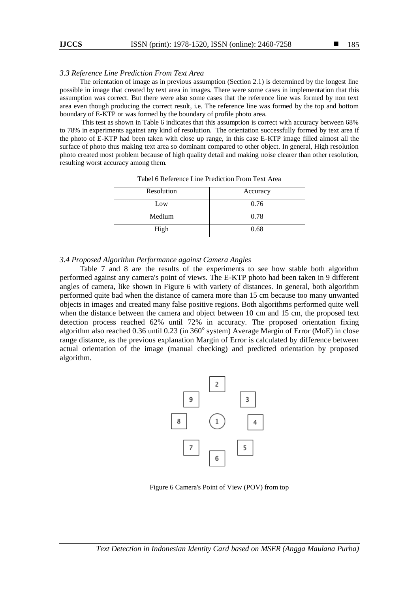#### 185

## *3.3 Reference Line Prediction From Text Area*

The orientation of image as in previous assumption (Section 2.1) is determined by the longest line possible in image that created by text area in images. There were some cases in implementation that this assumption was correct. But there were also some cases that the reference line was formed by non text area even though producing the correct result, i.e. The reference line was formed by the top and bottom boundary of E-KTP or was formed by the boundary of profile photo area.

This test as shown in Table 6 indicates that this assumption is correct with accuracy between 68% to 78% in experiments against any kind of resolution. The orientation successfully formed by text area if the photo of E-KTP had been taken with close up range, in this case E-KTP image filled almost all the surface of photo thus making text area so dominant compared to other object. In general, High resolution photo created most problem because of high quality detail and making noise clearer than other resolution, resulting worst accuracy among them.

| Resolution | Accuracy |
|------------|----------|
| Low        | 0.76     |
| Medium     | 0.78     |
| High       | 0.68     |

Tabel 6 Reference Line Prediction From Text Area

#### *3.4 Proposed Algorithm Performance against Camera Angles*

Table 7 and 8 are the results of the experiments to see how stable both algorithm performed against any camera's point of views. The E-KTP photo had been taken in 9 different angles of camera, like shown in Figure 6 with variety of distances. In general, both algorithm performed quite bad when the distance of camera more than 15 cm because too many unwanted objects in images and created many false positive regions. Both algorithms performed quite well when the distance between the camera and object between 10 cm and 15 cm, the proposed text detection process reached 62% until 72% in accuracy. The proposed orientation fixing algorithm also reached 0.36 until 0.23 (in 360° system) Average Margin of Error (MoE) in close range distance, as the previous explanation Margin of Error is calculated by difference between actual orientation of the image (manual checking) and predicted orientation by proposed algorithm.



Figure 6 Camera's Point of View (POV) from top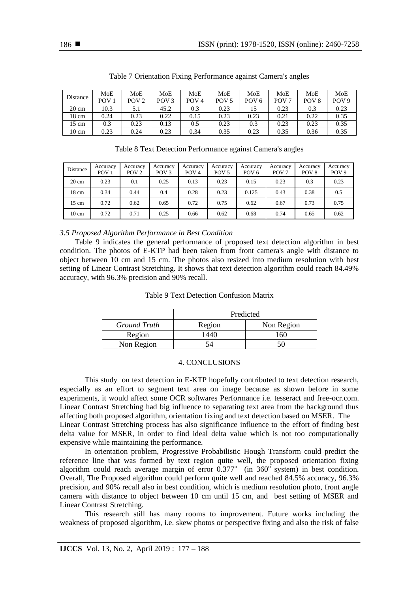| Distance        | MoE              | MoE              | MoE              | MoE              | MoE              | MoE              | MoE              | MoE              | MoE              |
|-----------------|------------------|------------------|------------------|------------------|------------------|------------------|------------------|------------------|------------------|
|                 | POV <sub>1</sub> | POV <sub>2</sub> | POV <sub>3</sub> | POV <sub>4</sub> | POV <sub>5</sub> | POV <sub>6</sub> | POV <sub>7</sub> | POV <sub>8</sub> | POV <sub>9</sub> |
| $20 \text{ cm}$ | 10.3             | 5.1              | 45.2             | 0.3              | 0.23             |                  | 0.23             | 0.3              | 0.23             |
| 18 cm           | 0.24             | 0.23             | 0.22             | 0.15             | 0.23             | 0.23             | 0.21             | 0.22             | 0.35             |
| $15 \text{ cm}$ | 0.3              | 0.23             | 0.13             | 0.5              | 0.23             | 0.3              | 0.23             | 0.23             | 0.35             |
| $10 \text{ cm}$ | 0.23             | 0.24             | 0.23             | 0.34             | 0.35             | 0.23             | 0.35             | 0.36             | 0.35             |

Table 7 Orientation Fixing Performance against Camera's angles

Table 8 Text Detection Performance against Camera's angles

| Distance        | Accuracy<br>POV <sub>1</sub> | Accuracy<br>POV <sub>2</sub> | Accuracy<br>POV <sub>3</sub> | Accuracy<br>POV <sub>4</sub> | Accuracy<br>POV <sub>5</sub> | Accuracy<br>POV <sub>6</sub> | Accuracy<br>POV <sub>7</sub> | Accuracy<br>POV <sub>8</sub> | Accuracy<br>POV <sub>9</sub> |
|-----------------|------------------------------|------------------------------|------------------------------|------------------------------|------------------------------|------------------------------|------------------------------|------------------------------|------------------------------|
| $20 \text{ cm}$ | 0.23                         | 0.1                          | 0.25                         | 0.13                         | 0.23                         | 0.15                         | 0.23                         | 0.3                          | 0.23                         |
| 18 cm           | 0.34                         | 0.44                         | 0.4                          | 0.28                         | 0.23                         | 0.125                        | 0.43                         | 0.38                         | 0.5                          |
| 15 cm           | 0.72                         | 0.62                         | 0.65                         | 0.72                         | 0.75                         | 0.62                         | 0.67                         | 0.73                         | 0.75                         |
| $10 \text{ cm}$ | 0.72                         | 0.71                         | 0.25                         | 0.66                         | 0.62                         | 0.68                         | 0.74                         | 0.65                         | 0.62                         |

# *3.5 Proposed Algorithm Performance in Best Condition*

Table 9 indicates the general performance of proposed text detection algorithm in best condition. The photos of E-KTP had been taken from front camera's angle with distance to object between 10 cm and 15 cm. The photos also resized into medium resolution with best setting of Linear Contrast Stretching. It shows that text detection algorithm could reach 84.49% accuracy, with 96.3% precision and 90% recall.

## Table 9 Text Detection Confusion Matrix

|              | Predicted |            |  |  |  |  |
|--------------|-----------|------------|--|--|--|--|
| Ground Truth | Region    | Non Region |  |  |  |  |
| Region       |           | l 60       |  |  |  |  |
| Non Region   |           | י          |  |  |  |  |

## 4. CONCLUSIONS

This study on text detection in E-KTP hopefully contributed to text detection research, especially as an effort to segment text area on image because as shown before in some experiments, it would affect some OCR softwares Performance i.e. tesseract and free-ocr.com. Linear Contrast Stretching had big influence to separating text area from the background thus affecting both proposed algorithm, orientation fixing and text detection based on MSER. The Linear Contrast Stretching process has also significance influence to the effort of finding best delta value for MSER, in order to find ideal delta value which is not too computationally expensive while maintaining the performance.

In orientation problem, Progressive Probabilistic Hough Transform could predict the reference line that was formed by text region quite well, the proposed orientation fixing algorithm could reach average margin of error  $0.377^\circ$  (in  $360^\circ$  system) in best condition. Overall, The Proposed algorithm could perform quite well and reached 84.5% accuracy, 96.3% precision, and 90% recall also in best condition, which is medium resolution photo, front angle camera with distance to object between 10 cm until 15 cm, and best setting of MSER and Linear Contrast Stretching.

This research still has many rooms to improvement. Future works including the weakness of proposed algorithm, i.e. skew photos or perspective fixing and also the risk of false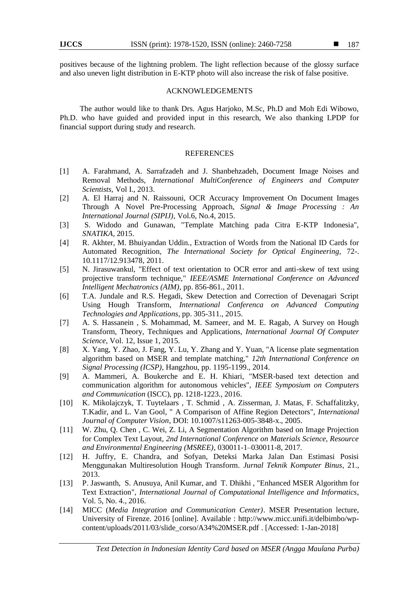positives because of the lightning problem. The light reflection because of the glossy surface and also uneven light distribution in E-KTP photo will also increase the risk of false positive.

#### ACKNOWLEDGEMENTS

The author would like to thank Drs. Agus Harjoko, M.Sc, Ph.D and Moh Edi Wibowo, Ph.D. who have guided and provided input in this research, We also thanking LPDP for financial support during study and research.

#### REFERENCES

- [1] A. Farahmand, A. Sarrafzadeh and J. Shanbehzadeh, Document Image Noises and Removal Methods, *International MultiConference of Engineers and Computer Scientists,* Vol I., 2013.
- [2] A. El Harraj and N. Raissouni, OCR Accuracy Improvement On Document Images Through A Novel Pre-Processing Approach, *Signal & Image Processing : An International Journal (SIPIJ)*, Vol.6, No.4, 2015.
- [3] S. Widodo and Gunawan, "Template Matching pada Citra E-KTP Indonesia", *SNATIKA,* 2015.
- [4] R. Akhter, M. Bhuiyandan Uddin., Extraction of Words from the National ID Cards for Automated Recognition, *The International Society for Optical Engineering,* 72-. 10.1117/12.913478, 2011.
- [5] N. Jirasuwankul, "Effect of text orientation to OCR error and anti-skew of text using projective transform technique," *IEEE/ASME International Conference on Advanced Intelligent Mechatronics (AIM)*, pp. 856-861., 2011.
- [6] T.A. Jundale and R.S. Hegadi, Skew Detection and Correction of Devenagari Script Using Hough Transform, *International Conferenca on Advanced Computing Technologies and Applications*, pp. 305-311., 2015.
- [7] A. S. Hassanein , S. Mohammad, M. Sameer, and M. E. Ragab, A Survey on Hough Transform, Theory, Techniques and Applications, *International Journal Of Computer Science*, Vol. 12, Issue 1, 2015.
- [8] X. Yang, Y. Zhao, J. Fang, Y. Lu, Y. Zhang and Y. Yuan, "A license plate segmentation algorithm based on MSER and template matching," *12th International Conference on Signal Processing (ICSP)*, Hangzhou, pp. 1195-1199., 2014.
- [9] A. Mammeri, A. Boukerche and E. H. Khiari, "MSER-based text detection and communication algorithm for autonomous vehicles", *IEEE Symposium on Computers and Communication* (ISCC), pp. 1218-1223., 2016.
- [10] K. Mikolajczyk, T. Tuytelaars , T. Schmid , A. Zisserman, J. Matas, F. Schaffalitzky, T.Kadir, and L. Van Gool, " A Comparison of Affine Region Detectors", *International Journal of Computer Vision*, DOI: 10.1007/s11263-005-3848-x., 2005.
- [11] W. Zhu, Q. Chen , C. Wei, Z. Li, A Segmentation Algorithm based on Image Projection for Complex Text Layout*, 2nd International Conference on Materials Science, Resource and Environmental Engineering (MSREE)*, 030011-1–030011-8, 2017.
- [12] H. Juffry, E. Chandra, and Sofyan, Deteksi Marka Jalan Dan Estimasi Posisi Menggunakan Multiresolution Hough Transform*. Jurnal Teknik Komputer Binus*, 21., 2013.
- [13] P. Jaswanth, S. Anusuya, Anil Kumar, and T. Dhikhi , "Enhanced MSER Algorithm for Text Extraction", *International Journal of Computational Intelligence and Informatics*, Vol. 5, No. 4., 2016.
- [14] MICC (*Media Integration and Communication Center)*. MSER Presentation lecture, University of Firenze. 2016 [online]. Available : http://www.micc.unifi.it/delbimbo/wpcontent/uploads/2011/03/slide\_corso/A34%20MSER.pdf . [Accessed: 1-Jan-2018]